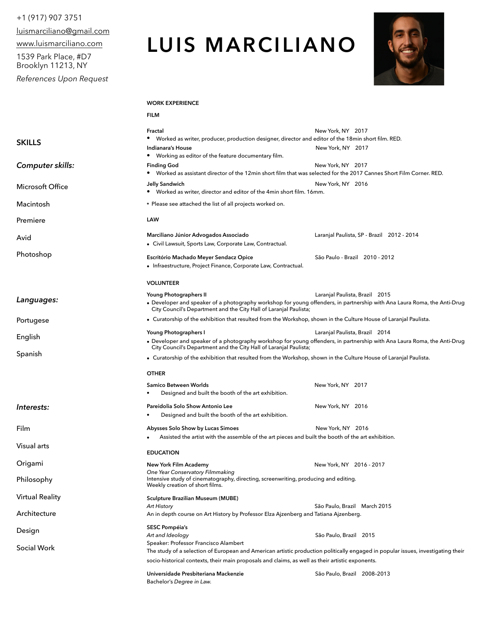# +1 (917) 907 3751

[luismarciliano@gmail.com](mailto:luismarciliano@gmail.com)

[www.luismarciliano.com](http://www.luismarciliano.com)

1539 Park Place, #D7 Brooklyn 11213, NY

*References Upon Request* 

# **LUIS MARCILIANO**



## **WORK EXPERIENCE**

|                        | <b>FILM</b>                                                                                                                                                                                                                                                                   |                                            |
|------------------------|-------------------------------------------------------------------------------------------------------------------------------------------------------------------------------------------------------------------------------------------------------------------------------|--------------------------------------------|
| <b>SKILLS</b>          | Fractal<br>• Worked as writer, producer, production designer, director and editor of the 18min short film. RED.<br>Indianara's House                                                                                                                                          | New York, NY 2017<br>New York, NY 2017     |
|                        | • Working as editor of the feature documentary film.                                                                                                                                                                                                                          |                                            |
| Computer skills:       | <b>Finding God</b><br>• Worked as assistant director of the 12min short film that was selected for the 2017 Cannes Short Film Corner. RED.                                                                                                                                    | New York, NY 2017                          |
| Microsoft Office       | <b>Jelly Sandwich</b><br>• Worked as writer, director and editor of the 4min short film. 16mm.                                                                                                                                                                                | New York, NY 2016                          |
| Macintosh              | * Please see attached the list of all projects worked on.                                                                                                                                                                                                                     |                                            |
| Premiere               | LAW                                                                                                                                                                                                                                                                           |                                            |
| Avid                   | Marciliano Júnior Advogados Associado<br>• Civil Lawsuit, Sports Law, Corporate Law, Contractual.                                                                                                                                                                             | Laranjal Paulista, SP - Brazil 2012 - 2014 |
| Photoshop              | Escritório Machado Meyer Sendacz Opice<br>• Infraestructure, Project Finance, Corporate Law, Contractual.                                                                                                                                                                     | São Paulo - Brazil 2010 - 2012             |
|                        | <b>VOLUNTEER</b>                                                                                                                                                                                                                                                              |                                            |
| Languages:             | Young Photographers II<br>• Developer and speaker of a photography workshop for young offenders, in partnership with Ana Laura Roma, the Anti-Drug<br>City Council's Department and the City Hall of Laranjal Paulista;                                                       | Laranjal Paulista, Brazil 2015             |
| Portugese              | • Curatorship of the exhibition that resulted from the Workshop, shown in the Culture House of Laranjal Paulista.                                                                                                                                                             |                                            |
| English                | Young Photographers I<br>• Developer and speaker of a photography workshop for young offenders, in partnership with Ana Laura Roma, the Anti-Drug                                                                                                                             | Laranjal Paulista, Brazil 2014             |
| Spanish                | City Council's Department and the City Hall of Laranjal Paulista;<br>• Curatorship of the exhibition that resulted from the Workshop, shown in the Culture House of Laranjal Paulista.                                                                                        |                                            |
|                        |                                                                                                                                                                                                                                                                               |                                            |
|                        | <b>OTHER</b>                                                                                                                                                                                                                                                                  |                                            |
|                        | Samico Between Worlds<br>Designed and built the booth of the art exhibition.                                                                                                                                                                                                  | New York, NY 2017                          |
| Interests:             | Pareidolia Solo Show Antonio Lee<br>Designed and built the booth of the art exhibition.                                                                                                                                                                                       | New York, NY 2016                          |
| Film                   | Abysses Solo Show by Lucas Simoes                                                                                                                                                                                                                                             | New York, NY 2016                          |
| Visual arts            | Assisted the artist with the assemble of the art pieces and built the booth of the art exhibition.<br><b>EDUCATION</b>                                                                                                                                                        |                                            |
| Origami                | New York Film Academy                                                                                                                                                                                                                                                         | New York, NY 2016 - 2017                   |
| Philosophy             | One Year Conservatory Filmmaking<br>Intensive study of cinematography, directing, screenwriting, producing and editing.<br>Weekly creation of short films.                                                                                                                    |                                            |
| <b>Virtual Reality</b> | <b>Sculpture Brazilian Museum (MUBE)</b><br>Art History                                                                                                                                                                                                                       | São Paulo, Brazil March 2015               |
| Architecture           | An in depth course on Art History by Professor Elza Ajzenberg and Tatiana Ajzenberg.                                                                                                                                                                                          |                                            |
| Design                 | <b>SESC Pompéia's</b><br>Art and Ideology                                                                                                                                                                                                                                     | São Paulo, Brazil 2015                     |
| Social Work            | Speaker: Professor Francisco Alambert<br>The study of a selection of European and American artistic production politically engaged in popular issues, investigating their<br>socio-historical contexts, their main proposals and claims, as well as their artistic exponents. |                                            |
|                        | Universidade Presbiteriana Mackenzie<br>Bachelor's Degree in Law.                                                                                                                                                                                                             | São Paulo, Brazil 2008-2013                |